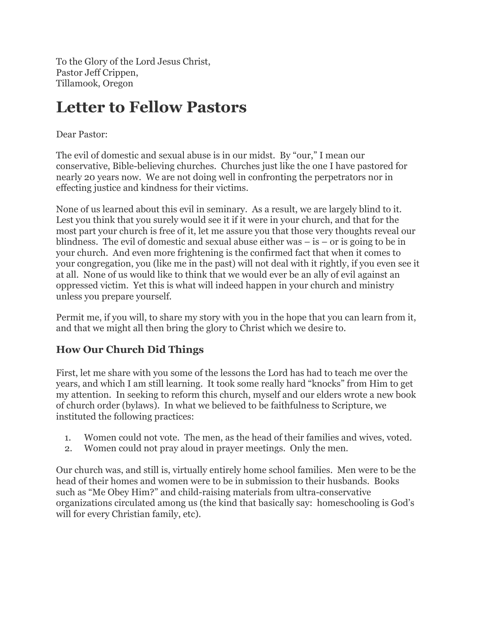To the Glory of the Lord Jesus Christ, Pastor Jeff Crippen, Tillamook, Oregon

# **Letter to Fellow Pastors**

#### Dear Pastor:

The evil of domestic and sexual abuse is in our midst. By "our," I mean our conservative, Bible-believing churches. Churches just like the one I have pastored for nearly 20 years now. We are not doing well in confronting the perpetrators nor in effecting justice and kindness for their victims.

None of us learned about this evil in seminary. As a result, we are largely blind to it. Lest you think that you surely would see it if it were in your church, and that for the most part your church is free of it, let me assure you that those very thoughts reveal our blindness. The evil of domestic and sexual abuse either was  $-$  is  $-$  or is going to be in your church. And even more frightening is the confirmed fact that when it comes to your congregation, you (like me in the past) will not deal with it rightly, if you even see it at all. None of us would like to think that we would ever be an ally of evil against an oppressed victim. Yet this is what will indeed happen in your church and ministry unless you prepare yourself.

Permit me, if you will, to share my story with you in the hope that you can learn from it, and that we might all then bring the glory to Christ which we desire to.

### **How Our Church Did Things**

First, let me share with you some of the lessons the Lord has had to teach me over the years, and which I am still learning. It took some really hard "knocks" from Him to get my attention. In seeking to reform this church, myself and our elders wrote a new book of church order (bylaws). In what we believed to be faithfulness to Scripture, we instituted the following practices:

- 1. Women could not vote. The men, as the head of their families and wives, voted.
- 2. Women could not pray aloud in prayer meetings. Only the men.

Our church was, and still is, virtually entirely home school families. Men were to be the head of their homes and women were to be in submission to their husbands. Books such as "Me Obey Him?" and child-raising materials from ultra-conservative organizations circulated among us (the kind that basically say: homeschooling is God's will for every Christian family, etc).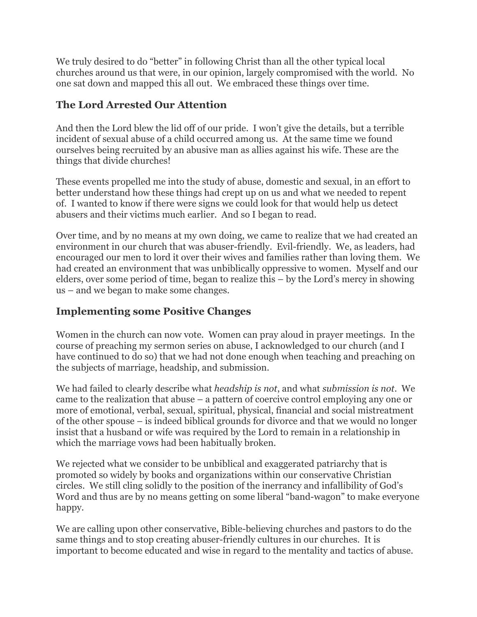We truly desired to do "better" in following Christ than all the other typical local churches around us that were, in our opinion, largely compromised with the world. No one sat down and mapped this all out. We embraced these things over time.

## **The Lord Arrested Our Attention**

And then the Lord blew the lid off of our pride. I won't give the details, but a terrible incident of sexual abuse of a child occurred among us. At the same time we found ourselves being recruited by an abusive man as allies against his wife. These are the things that divide churches!

These events propelled me into the study of abuse, domestic and sexual, in an effort to better understand how these things had crept up on us and what we needed to repent of. I wanted to know if there were signs we could look for that would help us detect abusers and their victims much earlier. And so I began to read.

Over time, and by no means at my own doing, we came to realize that we had created an environment in our church that was abuser-friendly. Evil-friendly. We, as leaders, had encouraged our men to lord it over their wives and families rather than loving them. We had created an environment that was unbiblically oppressive to women. Myself and our elders, over some period of time, began to realize this – by the Lord's mercy in showing us – and we began to make some changes.

## **Implementing some Positive Changes**

Women in the church can now vote. Women can pray aloud in prayer meetings. In the course of preaching my sermon series on abuse, I acknowledged to our church (and I have continued to do so) that we had not done enough when teaching and preaching on the subjects of marriage, headship, and submission.

We had failed to clearly describe what *headship is not*, and what *submission is not*. We came to the realization that abuse – a pattern of coercive control employing any one or more of emotional, verbal, sexual, spiritual, physical, financial and social mistreatment of the other spouse – is indeed biblical grounds for divorce and that we would no longer insist that a husband or wife was required by the Lord to remain in a relationship in which the marriage vows had been habitually broken.

We rejected what we consider to be unbiblical and exaggerated patriarchy that is promoted so widely by books and organizations within our conservative Christian circles. We still cling solidly to the position of the inerrancy and infallibility of God's Word and thus are by no means getting on some liberal "band-wagon" to make everyone happy.

We are calling upon other conservative, Bible-believing churches and pastors to do the same things and to stop creating abuser-friendly cultures in our churches. It is important to become educated and wise in regard to the mentality and tactics of abuse.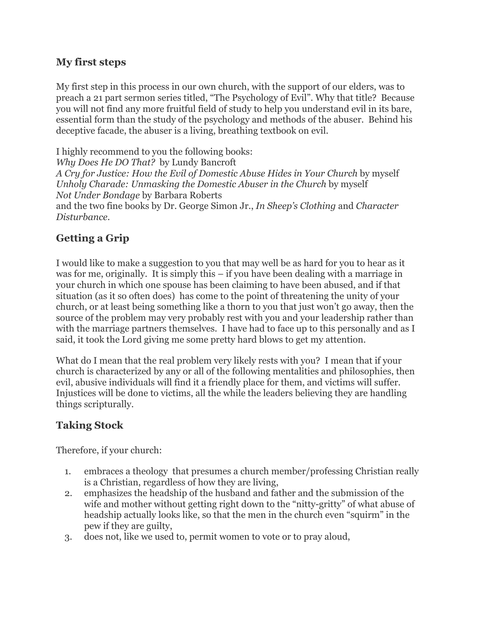#### **My first steps**

My first step in this process in our own church, with the support of our elders, was to preach a 21 part sermon series titled, "The Psychology of Evil". Why that title? Because you will not find any more fruitful field of study to help you understand evil in its bare, essential form than the study of the psychology and methods of the abuser. Behind his deceptive facade, the abuser is a living, breathing textbook on evil.

I highly recommend to you the following books: *Why Does He DO That?* by Lundy Bancroft *A Cry for Justice: How the Evil of Domestic Abuse Hides in Your Church* by myself *Unholy Charade: Unmasking the Domestic Abuser in the Church* by myself *Not Under Bondage* by Barbara Roberts and the two fine books by Dr. George Simon Jr., *In Sheep's Clothing* and *Character Disturbance*.

# **Getting a Grip**

I would like to make a suggestion to you that may well be as hard for you to hear as it was for me, originally. It is simply this – if you have been dealing with a marriage in your church in which one spouse has been claiming to have been abused, and if that situation (as it so often does) has come to the point of threatening the unity of your church, or at least being something like a thorn to you that just won't go away, then the source of the problem may very probably rest with you and your leadership rather than with the marriage partners themselves. I have had to face up to this personally and as I said, it took the Lord giving me some pretty hard blows to get my attention.

What do I mean that the real problem very likely rests with you? I mean that if your church is characterized by any or all of the following mentalities and philosophies, then evil, abusive individuals will find it a friendly place for them, and victims will suffer. Injustices will be done to victims, all the while the leaders believing they are handling things scripturally.

# **Taking Stock**

Therefore, if your church:

- 1. embraces a theology that presumes a church member/professing Christian really is a Christian, regardless of how they are living,
- 2. emphasizes the headship of the husband and father and the submission of the wife and mother without getting right down to the "nitty-gritty" of what abuse of headship actually looks like, so that the men in the church even "squirm" in the pew if they are guilty,
- 3. does not, like we used to, permit women to vote or to pray aloud,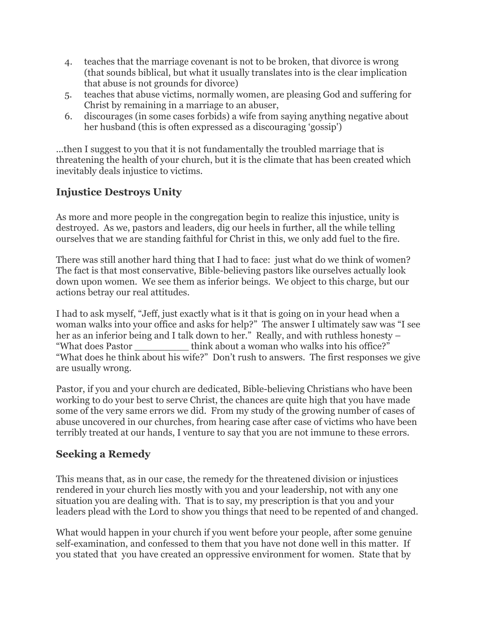- 4. teaches that the marriage covenant is not to be broken, that divorce is wrong (that sounds biblical, but what it usually translates into is the clear implication that abuse is not grounds for divorce)
- 5. teaches that abuse victims, normally women, are pleasing God and suffering for Christ by remaining in a marriage to an abuser,
- 6. discourages (in some cases forbids) a wife from saying anything negative about her husband (this is often expressed as a discouraging 'gossip')

...then I suggest to you that it is not fundamentally the troubled marriage that is threatening the health of your church, but it is the climate that has been created which inevitably deals injustice to victims.

# **Injustice Destroys Unity**

As more and more people in the congregation begin to realize this injustice, unity is destroyed. As we, pastors and leaders, dig our heels in further, all the while telling ourselves that we are standing faithful for Christ in this, we only add fuel to the fire.

There was still another hard thing that I had to face: just what do we think of women? The fact is that most conservative, Bible-believing pastors like ourselves actually look down upon women. We see them as inferior beings. We object to this charge, but our actions betray our real attitudes.

I had to ask myself, "Jeff, just exactly what is it that is going on in your head when a woman walks into your office and asks for help?" The answer I ultimately saw was "I see her as an inferior being and I talk down to her." Really, and with ruthless honesty – "What does Pastor think about a woman who walks into his office?" "What does he think about his wife?" Don't rush to answers. The first responses we give are usually wrong.

Pastor, if you and your church are dedicated, Bible-believing Christians who have been working to do your best to serve Christ, the chances are quite high that you have made some of the very same errors we did. From my study of the growing number of cases of abuse uncovered in our churches, from hearing case after case of victims who have been terribly treated at our hands, I venture to say that you are not immune to these errors.

### **Seeking a Remedy**

This means that, as in our case, the remedy for the threatened division or injustices rendered in your church lies mostly with you and your leadership, not with any one situation you are dealing with. That is to say, my prescription is that you and your leaders plead with the Lord to show you things that need to be repented of and changed.

What would happen in your church if you went before your people, after some genuine self-examination, and confessed to them that you have not done well in this matter. If you stated that you have created an oppressive environment for women. State that by